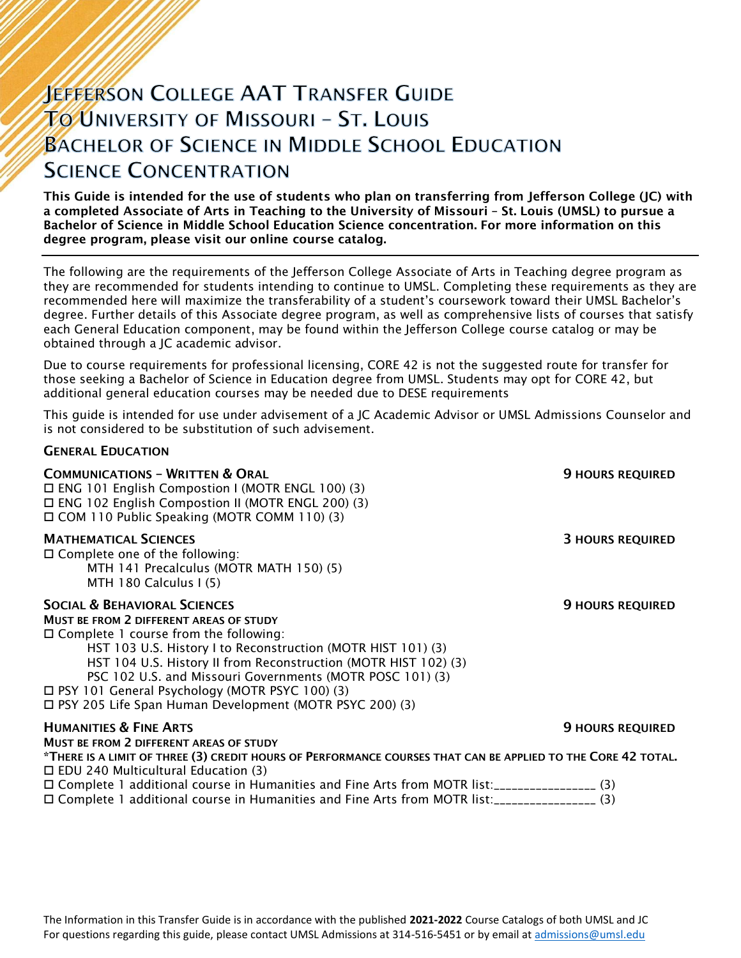# **JEFFERSON COLLEGE AAT TRANSFER GUIDE TO UNIVERSITY OF MISSOURI - ST. LOUIS BACHELOR OF SCIENCE IN MIDDLE SCHOOL EDUCATION SCIENCE CONCENTRATION**

This Guide is intended for the use of students who plan on transferring from Jefferson College (JC) with a completed Associate of Arts in Teaching to the University of Missouri – St. Louis (UMSL) to pursue a Bachelor of Science in Middle School Education Science concentration. For more information on this degree program, please visit our online course catalog.

The following are the requirements of the Jefferson College Associate of Arts in Teaching degree program as they are recommended for students intending to continue to UMSL. Completing these requirements as they are recommended here will maximize the transferability of a student's coursework toward their UMSL Bachelor's degree. Further details of this Associate degree program, as well as comprehensive lists of courses that satisfy each General Education component, may be found within the Jefferson College course catalog or may be obtained through a JC academic advisor.

Due to course requirements for professional licensing, CORE 42 is not the suggested route for transfer for those seeking a Bachelor of Science in Education degree from UMSL. Students may opt for CORE 42, but additional general education courses may be needed due to DESE requirements

This guide is intended for use under advisement of a JC Academic Advisor or UMSL Admissions Counselor and is not considered to be substitution of such advisement.

## GENERAL EDUCATION

| <b>COMMUNICATIONS - WRITTEN &amp; ORAL</b><br>□ ENG 101 English Compostion I (MOTR ENGL 100) (3)<br>□ ENG 102 English Compostion II (MOTR ENGL 200) (3)<br>□ COM 110 Public Speaking (MOTR COMM 110) (3)                                                                                                                                                                                                                                                 | <b>9 HOURS REQUIRED</b> |
|----------------------------------------------------------------------------------------------------------------------------------------------------------------------------------------------------------------------------------------------------------------------------------------------------------------------------------------------------------------------------------------------------------------------------------------------------------|-------------------------|
| <b>MATHEMATICAL SCIENCES</b><br>$\Box$ Complete one of the following:<br>MTH 141 Precalculus (MOTR MATH 150) (5)<br>MTH 180 Calculus I (5)                                                                                                                                                                                                                                                                                                               | <b>3 HOURS REQUIRED</b> |
| <b>SOCIAL &amp; BEHAVIORAL SCIENCES</b><br>MUST BE FROM 2 DIFFERENT AREAS OF STUDY<br>$\Box$ Complete 1 course from the following:<br>HST 103 U.S. History I to Reconstruction (MOTR HIST 101) (3)<br>HST 104 U.S. History II from Reconstruction (MOTR HIST 102) (3)<br>PSC 102 U.S. and Missouri Governments (MOTR POSC 101) (3)<br>□ PSY 101 General Psychology (MOTR PSYC 100) (3)<br>$\Box$ PSY 205 Life Span Human Development (MOTR PSYC 200) (3) | <b>9 HOURS REQUIRED</b> |
| <b>HUMANITIES &amp; FINE ARTS</b>                                                                                                                                                                                                                                                                                                                                                                                                                        | <b>9 HOURS REQUIRED</b> |
| MUST BE FROM 2 DIFFERENT AREAS OF STUDY<br>*THERE IS A LIMIT OF THREE (3) CREDIT HOURS OF PERFORMANCE COURSES THAT CAN BE APPLIED TO THE CORE 42 TOTAL.                                                                                                                                                                                                                                                                                                  |                         |
| $\Box$ EDU 240 Multicultural Education (3)                                                                                                                                                                                                                                                                                                                                                                                                               |                         |
| □ Complete 1 additional course in Humanities and Fine Arts from MOTR list:__________________(3)                                                                                                                                                                                                                                                                                                                                                          |                         |
| □ Complete 1 additional course in Humanities and Fine Arts from MOTR list:__________________(3)                                                                                                                                                                                                                                                                                                                                                          |                         |